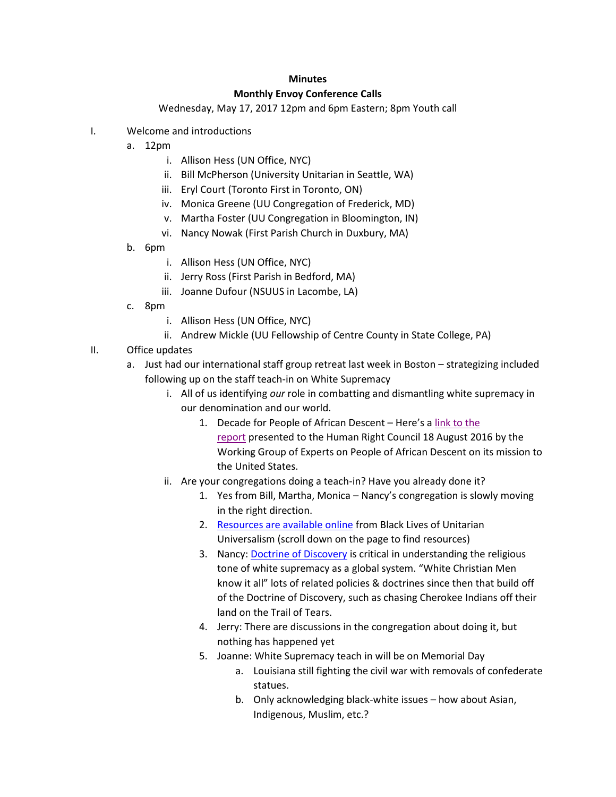## **Minutes Monthly Envoy Conference Calls**

## Wednesday, May 17, 2017 12pm and 6pm Eastern; 8pm Youth call

- I. Welcome and introductions
	- a. 12pm
		- i. Allison Hess (UN Office, NYC)
		- ii. Bill McPherson (University Unitarian in Seattle, WA)
		- iii. Eryl Court (Toronto First in Toronto, ON)
		- iv. Monica Greene (UU Congregation of Frederick, MD)
		- v. Martha Foster (UU Congregation in Bloomington, IN)
		- vi. Nancy Nowak (First Parish Church in Duxbury, MA)
	- b. 6pm
		- i. Allison Hess (UN Office, NYC)
		- ii. Jerry Ross (First Parish in Bedford, MA)
		- iii. Joanne Dufour (NSUUS in Lacombe, LA)
	- c. 8pm
		- i. Allison Hess (UN Office, NYC)
		- ii. Andrew Mickle (UU Fellowship of Centre County in State College, PA)
- II. Office updates
	- a. Just had our international staff group retreat last week in Boston strategizing included following up on the staff teach-in on White Supremacy
		- i. All of us identifying *our* role in combatting and dismantling white supremacy in our denomination and our world.
			- 1. Decade for People of African Descent Here's a [link to the](https://documents-dds-ny.un.org/doc/UNDOC/GEN/G16/183/30/PDF/G1618330.pdf?OpenElement)  [report](https://documents-dds-ny.un.org/doc/UNDOC/GEN/G16/183/30/PDF/G1618330.pdf?OpenElement) presented to the Human Right Council 18 August 2016 by the Working Group of Experts on People of African Descent on its mission to the United States.
		- ii. Are your congregations doing a teach-in? Have you already done it?
			- 1. Yes from Bill, Martha, Monica Nancy's congregation is slowly moving in the right direction.
			- 2. [Resources are available online](http://www.blacklivesuu.com/teachin/) from Black Lives of Unitarian Universalism (scroll down on the page to find resources)
			- 3. Nancy: [Doctrine of Discovery](http://www.uua.org/multiculturalism/dod) is critical in understanding the religious tone of white supremacy as a global system. "White Christian Men know it all" lots of related policies & doctrines since then that build off of the Doctrine of Discovery, such as chasing Cherokee Indians off their land on the Trail of Tears.
			- 4. Jerry: There are discussions in the congregation about doing it, but nothing has happened yet
			- 5. Joanne: White Supremacy teach in will be on Memorial Day
				- a. Louisiana still fighting the civil war with removals of confederate statues.
				- b. Only acknowledging black-white issues how about Asian, Indigenous, Muslim, etc.?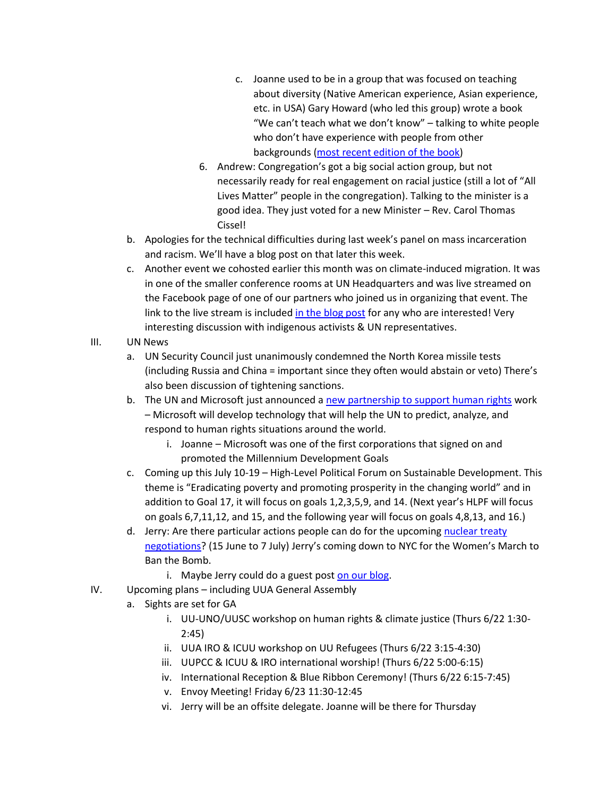- c. Joanne used to be in a group that was focused on teaching about diversity (Native American experience, Asian experience, etc. in USA) Gary Howard (who led this group) wrote a book "We can't teach what we don't know" – talking to white people who don't have experience with people from other backgrounds [\(most recent edition](https://www.amazon.com/Cant-Teach-What-Multicultural-Education/dp/0807757314/ref=pd_lpo_sbs_14_t_0/147-9624650-1053255?_encoding=UTF8&psc=1&refRID=YMD0N20V77RW38EV7DS1) of the book)
- 6. Andrew: Congregation's got a big social action group, but not necessarily ready for real engagement on racial justice (still a lot of "All Lives Matter" people in the congregation). Talking to the minister is a good idea. They just voted for a new Minister – Rev. Carol Thomas Cissel!
- b. Apologies for the technical difficulties during last week's panel on mass incarceration and racism. We'll have a blog post on that later this week.
- c. Another event we cohosted earlier this month was on climate-induced migration. It was in one of the smaller conference rooms at UN Headquarters and was live streamed on the Facebook page of one of our partners who joined us in organizing that event. The link to the live stream is include[d in the blog post](https://www.uua.org/international/blog/climate-induced-migration-conversation-united-nations) for any who are interested! Very interesting discussion with indigenous activists & UN representatives.
- III. UN News
	- a. UN Security Council just unanimously condemned the North Korea missile tests (including Russia and China = important since they often would abstain or veto) There's also been discussion of tightening sanctions.
	- b. The UN and Microsoft just announced a [new partnership to support human rights](https://www.geekwire.com/2017/microsoft-and-united-nations-team-up-for-landmark-human-rights-technology-partnership/) work – Microsoft will develop technology that will help the UN to predict, analyze, and respond to human rights situations around the world.
		- i. Joanne Microsoft was one of the first corporations that signed on and promoted the Millennium Development Goals
	- c. Coming up this July 10-19 High-Level Political Forum on Sustainable Development. This theme is "Eradicating poverty and promoting prosperity in the changing world" and in addition to Goal 17, it will focus on goals 1,2,3,5,9, and 14. (Next year's HLPF will focus on goals 6,7,11,12, and 15, and the following year will focus on goals 4,8,13, and 16.)
	- d. Jerry: Are there particular actions people can do for the upcoming [nuclear](http://www.nti.org/learn/treaties-and-regimes/proposed-nuclear-weapons-ban-treaty/) treaty [negotiations?](http://www.nti.org/learn/treaties-and-regimes/proposed-nuclear-weapons-ban-treaty/) (15 June to 7 July) Jerry's coming down to NYC for the Women's March to Ban the Bomb.
		- i. Maybe Jerry could do a guest post [on our blog.](https://www.uua.org/international/blog)
- IV. Upcoming plans including UUA General Assembly
	- a. Sights are set for GA
		- i. UU-UNO/UUSC workshop on human rights & climate justice (Thurs 6/22 1:30- 2:45)
		- ii. UUA IRO & ICUU workshop on UU Refugees (Thurs 6/22 3:15-4:30)
		- iii. UUPCC & ICUU & IRO international worship! (Thurs 6/22 5:00-6:15)
		- iv. International Reception & Blue Ribbon Ceremony! (Thurs 6/22 6:15-7:45)
		- v. Envoy Meeting! Friday 6/23 11:30-12:45
		- vi. Jerry will be an offsite delegate. Joanne will be there for Thursday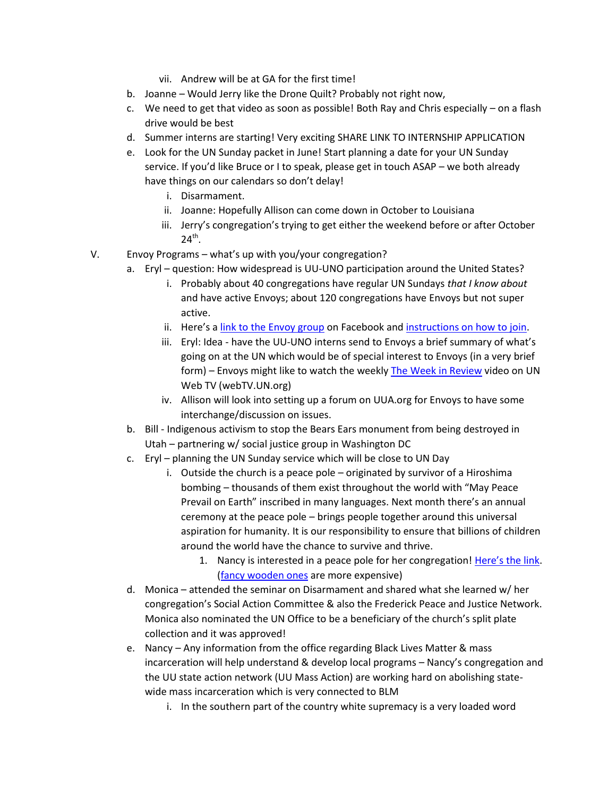- vii. Andrew will be at GA for the first time!
- b. Joanne Would Jerry like the Drone Quilt? Probably not right now,
- c. We need to get that video as soon as possible! Both Ray and Chris especially on a flash drive would be best
- d. Summer interns are starting! Very exciting SHARE LINK TO INTERNSHIP APPLICATION
- e. Look for the UN Sunday packet in June! Start planning a date for your UN Sunday service. If you'd like Bruce or I to speak, please get in touch ASAP – we both already have things on our calendars so don't delay!
	- i. Disarmament.
	- ii. Joanne: Hopefully Allison can come down in October to Louisiana
	- iii. Jerry's congregation's trying to get either the weekend before or after October  $24^{\text{th}}$ .
- V. Envoy Programs what's up with you/your congregation?
	- a. Eryl question: How widespread is UU-UNO participation around the United States?
		- i. Probably about 40 congregations have regular UN Sundays *that I know about* and have active Envoys; about 120 congregations have Envoys but not super active.
		- ii. Here's a [link to the Envoy group](https://www.facebook.com/groups/uuunoenvoys/) on Facebook an[d instructions on how to join.](http://www.uua.org/sites/live-new.uua.org/files/envoys_facebook_instructions.pdf)
		- iii. Eryl: Idea have the UU-UNO interns send to Envoys a brief summary of what's going on at the UN which would be of special interest to Envoys (in a very brief form) – Envoys might like to watch the weekl[y The Week in Review](http://webtv.un.org/search/the-week-in-review-12-may-2017/5432171094001?term=the%20week%20in%20review) video on UN Web TV (webTV.UN.org)
		- iv. Allison will look into setting up a forum on UUA.org for Envoys to have some interchange/discussion on issues.
	- b. Bill Indigenous activism to stop the Bears Ears monument from being destroyed in Utah – partnering w/ social justice group in Washington DC
	- c. Eryl planning the UN Sunday service which will be close to UN Day
		- i. Outside the church is a peace pole originated by survivor of a Hiroshima bombing – thousands of them exist throughout the world with "May Peace Prevail on Earth" inscribed in many languages. Next month there's an annual ceremony at the peace pole – brings people together around this universal aspiration for humanity. It is our responsibility to ensure that billions of children around the world have the chance to survive and thrive.
			- 1. Nancy is interested in a peace pole for her congregation! [Here's th](http://www.peacepoleproject.org/order.html)e link. [\(fancy wooden](https://peacepoleproject.org/ppshopcart/products.php) ones are more expensive)
	- d. Monica attended the seminar on Disarmament and shared what she learned w/ her congregation's Social Action Committee & also the Frederick Peace and Justice Network. Monica also nominated the UN Office to be a beneficiary of the church's split plate collection and it was approved!
	- e. Nancy Any information from the office regarding Black Lives Matter & mass incarceration will help understand & develop local programs – Nancy's congregation and the UU state action network (UU Mass Action) are working hard on abolishing statewide mass incarceration which is very connected to BLM
		- i. In the southern part of the country white supremacy is a very loaded word